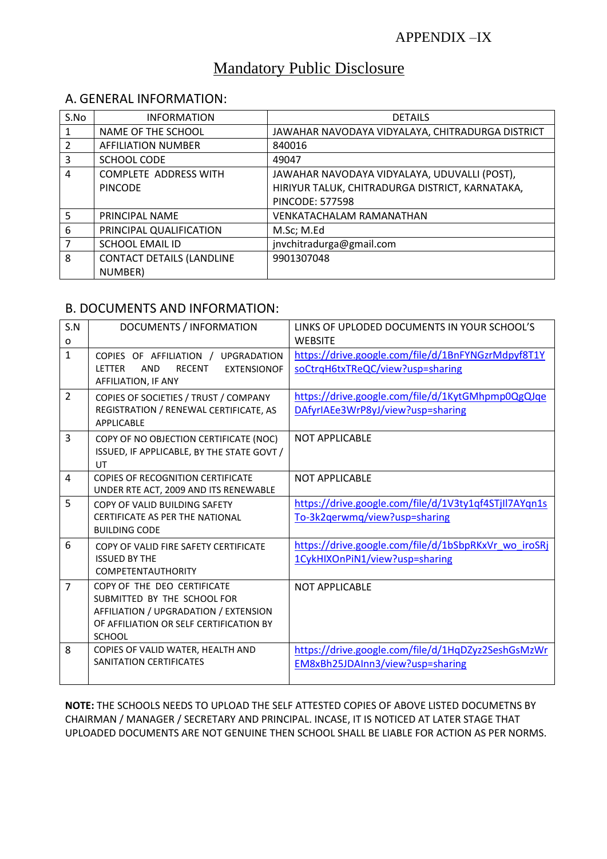# Mandatory Public Disclosure

### A. GENERAL INFORMATION:

| S.No           | <b>INFORMATION</b>               | <b>DETAILS</b>                                   |
|----------------|----------------------------------|--------------------------------------------------|
|                | NAME OF THE SCHOOL               | JAWAHAR NAVODAYA VIDYALAYA, CHITRADURGA DISTRICT |
| $\mathfrak{p}$ | <b>AFFILIATION NUMBER</b>        | 840016                                           |
| 3              | SCHOOL CODE                      | 49047                                            |
| 4              | <b>COMPLETE ADDRESS WITH</b>     | JAWAHAR NAVODAYA VIDYALAYA, UDUVALLI (POST),     |
|                | <b>PINCODE</b>                   | HIRIYUR TALUK, CHITRADURGA DISTRICT, KARNATAKA,  |
|                |                                  | PINCODE: 577598                                  |
| 5              | PRINCIPAL NAME                   | <b>VENKATACHALAM RAMANATHAN</b>                  |
| 6              | PRINCIPAL QUALIFICATION          | M.Sc; M.Ed                                       |
| 7              | <b>SCHOOL EMAIL ID</b>           | jnvchitradurga@gmail.com                         |
| 8              | <b>CONTACT DETAILS (LANDLINE</b> | 9901307048                                       |
|                | NUMBER)                          |                                                  |

## B. DOCUMENTS AND INFORMATION:

| S.N<br>o       | DOCUMENTS / INFORMATION                                                                                                                                         | LINKS OF UPLODED DOCUMENTS IN YOUR SCHOOL'S<br><b>WEBSITE</b>                          |
|----------------|-----------------------------------------------------------------------------------------------------------------------------------------------------------------|----------------------------------------------------------------------------------------|
| $\mathbf{1}$   | COPIES OF AFFILIATION / UPGRADATION<br><b>LETTER</b><br><b>AND</b><br><b>RECENT</b><br><b>EXTENSIONOF</b><br>AFFILIATION, IF ANY                                | https://drive.google.com/file/d/1BnFYNGzrMdpyf8T1Y<br>soCtrqH6txTReQC/view?usp=sharing |
| $\overline{2}$ | COPIES OF SOCIETIES / TRUST / COMPANY<br>REGISTRATION / RENEWAL CERTIFICATE, AS<br>APPLICABLE                                                                   | https://drive.google.com/file/d/1KytGMhpmp0QgQJqe<br>DAfyrIAEe3WrP8yJ/view?usp=sharing |
| $\overline{3}$ | COPY OF NO OBJECTION CERTIFICATE (NOC)<br>ISSUED, IF APPLICABLE, BY THE STATE GOVT /<br>UT                                                                      | <b>NOT APPLICABLE</b>                                                                  |
| 4              | <b>COPIES OF RECOGNITION CERTIFICATE</b><br>UNDER RTE ACT, 2009 AND ITS RENEWABLE                                                                               | <b>NOT APPLICABLE</b>                                                                  |
| 5              | COPY OF VALID BUILDING SAFETY<br><b>CERTIFICATE AS PER THE NATIONAL</b><br><b>BUILDING CODE</b>                                                                 | https://drive.google.com/file/d/1V3ty1qf4STjIl7AYqn1s<br>To-3k2qerwmq/view?usp=sharing |
| 6              | COPY OF VALID FIRE SAFETY CERTIFICATE<br><b>ISSUED BY THE</b><br><b>COMPETENTAUTHORITY</b>                                                                      | https://drive.google.com/file/d/1bSbpRKxVr wo iroSRj<br>1CykHIXOnPiN1/view?usp=sharing |
| $\overline{7}$ | COPY OF THE DEO CERTIFICATE<br>SUBMITTED BY THE SCHOOL FOR<br>AFFILIATION / UPGRADATION / EXTENSION<br>OF AFFILIATION OR SELF CERTIFICATION BY<br><b>SCHOOL</b> | <b>NOT APPLICABLE</b>                                                                  |
| 8              | COPIES OF VALID WATER, HEALTH AND<br>SANITATION CERTIFICATES                                                                                                    | https://drive.google.com/file/d/1HqDZyz2SeshGsMzWr<br>EM8xBh25JDAInn3/view?usp=sharing |

**NOTE:** THE SCHOOLS NEEDS TO UPLOAD THE SELF ATTESTED COPIES OF ABOVE LISTED DOCUMETNS BY CHAIRMAN / MANAGER / SECRETARY AND PRINCIPAL. INCASE, IT IS NOTICED AT LATER STAGE THAT UPLOADED DOCUMENTS ARE NOT GENUINE THEN SCHOOL SHALL BE LIABLE FOR ACTION AS PER NORMS.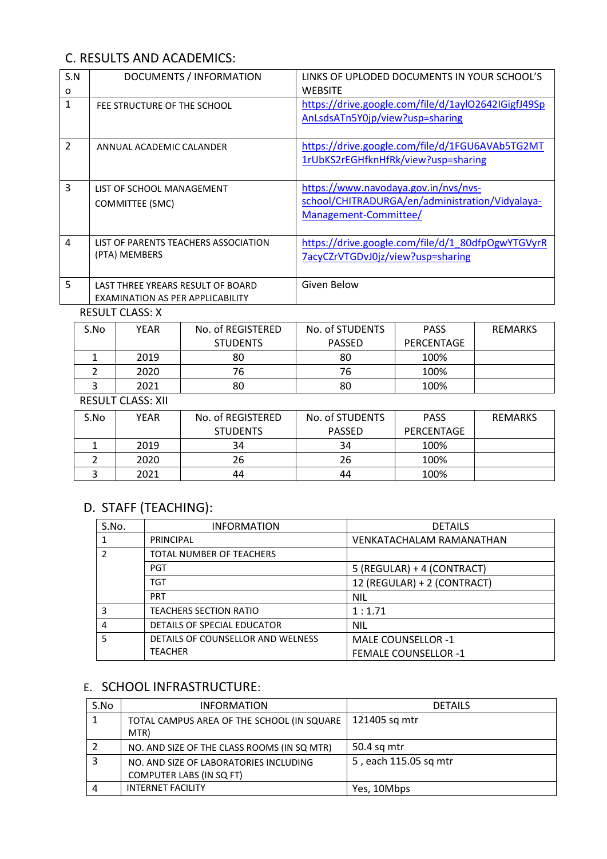# C. RESULTS AND ACADEMICS:

| S.N<br>O       | DOCUMENTS / INFORMATION                                               | LINKS OF UPLODED DOCUMENTS IN YOUR SCHOOL'S<br><b>WEBSITE</b>                                                    |
|----------------|-----------------------------------------------------------------------|------------------------------------------------------------------------------------------------------------------|
| $\mathbf{1}$   | FEE STRUCTURE OF THE SCHOOL                                           | https://drive.google.com/file/d/1ayl02642IGigfJ49Sp<br>AnLsdsATn5Y0jp/view?usp=sharing                           |
| $\overline{2}$ | ANNUAL ACADEMIC CALANDER                                              | https://drive.google.com/file/d/1FGU6AVAb5TG2MT<br>1rUbKS2rEGHfknHfRk/view?usp=sharing                           |
| 3              | LIST OF SCHOOL MANAGEMENT<br>COMMITTEE (SMC)                          | https://www.navodaya.gov.in/nvs/nvs-<br>school/CHITRADURGA/en/administration/Vidyalaya-<br>Management-Committee/ |
| $\overline{a}$ | LIST OF PARENTS TEACHERS ASSOCIATION<br>(PTA) MEMBERS                 | https://drive.google.com/file/d/1 80dfpOgwYTGVyrR<br>7acyCZrVTGDvJ0jz/view?usp=sharing                           |
| 5              | LAST THREE YREARS RESULT OF BOARD<br>EXAMINATION AS PER APPLICABILITY | Given Below                                                                                                      |

RESULT CLASS: X

| S.No | YEAR | No. of REGISTERED | No. of STUDENTS | <b>PASS</b> | <b>REMARKS</b> |
|------|------|-------------------|-----------------|-------------|----------------|
|      |      | <b>STUDENTS</b>   | <b>PASSED</b>   | PERCENTAGE  |                |
|      | 2019 | 80                | 80              | 100%        |                |
|      | 2020 | 76                | 76              | 100%        |                |
|      | 2021 | 80                | 80              | 100%        |                |

#### RESULT CLASS: XII

| S.No | YEAR | No. of REGISTERED | No. of STUDENTS | <b>PASS</b> | <b>REMARKS</b> |
|------|------|-------------------|-----------------|-------------|----------------|
|      |      | <b>STUDENTS</b>   | <b>PASSED</b>   | PERCENTAGE  |                |
|      | 2019 | 34                | 34              | 100%        |                |
|      | 2020 | 26                | 26              | 100%        |                |
|      | 2021 | 44                | 44              | 100%        |                |

# D. STAFF (TEACHING):

| S.No. | <b>INFORMATION</b>                | <b>DETAILS</b>                  |
|-------|-----------------------------------|---------------------------------|
| 1     | <b>PRINCIPAL</b>                  | <b>VENKATACHALAM RAMANATHAN</b> |
| 2     | TOTAL NUMBER OF TEACHERS          |                                 |
|       | <b>PGT</b>                        | 5 (REGULAR) + 4 (CONTRACT)      |
|       | TGT                               | 12 (REGULAR) + 2 (CONTRACT)     |
|       | <b>PRT</b>                        | <b>NIL</b>                      |
| 3     | <b>TEACHERS SECTION RATIO</b>     | 1:1.71                          |
| 4     | DETAILS OF SPECIAL EDUCATOR       | <b>NIL</b>                      |
| 5     | DETAILS OF COUNSELLOR AND WELNESS | MALE COUNSELLOR -1              |
|       | <b>TEACHER</b>                    | <b>FEMALE COUNSELLOR -1</b>     |

## E. SCHOOL INFRASTRUCTURE:

| S.No | <b>INFORMATION</b>                          | <b>DETAILS</b>        |
|------|---------------------------------------------|-----------------------|
|      | TOTAL CAMPUS AREA OF THE SCHOOL (IN SQUARE  | 121405 sq mtr         |
|      | MTR)                                        |                       |
|      | NO. AND SIZE OF THE CLASS ROOMS (IN SQ MTR) | 50.4 sq mtr           |
|      | NO. AND SIZE OF LABORATORIES INCLUDING      | 5, each 115.05 sq mtr |
|      | COMPUTER LABS (IN SQ FT)                    |                       |
|      | <b>INTERNET FACILITY</b>                    | Yes, 10Mbps           |